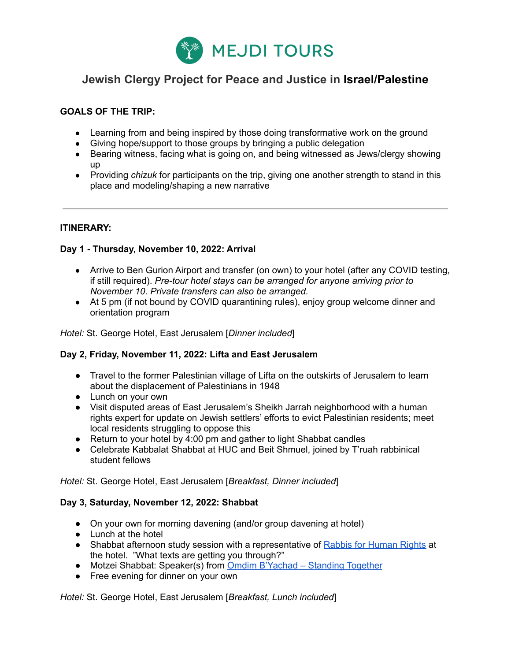

# **Jewish Clergy Project for Peace and Justice in Israel/Palestine**

# **GOALS OF THE TRIP:**

- Learning from and being inspired by those doing transformative work on the ground
- Giving hope/support to those groups by bringing a public delegation
- Bearing witness, facing what is going on, and being witnessed as Jews/clergy showing up
- Providing *chizuk* for participants on the trip, giving one another strength to stand in this place and modeling/shaping a new narrative

# **ITINERARY:**

## **Day 1 - Thursday, November 10, 2022: Arrival**

- Arrive to Ben Gurion Airport and transfer (on own) to your hotel (after any COVID testing, if still required). *Pre-tour hotel stays can be arranged for anyone arriving prior to November 10. Private transfers can also be arranged.*
- At 5 pm (if not bound by COVID quarantining rules), enjoy group welcome dinner and orientation program

*Hotel:* St. George Hotel, East Jerusalem [*Dinner included*]

# **Day 2, Friday, November 11, 2022: Lifta and East Jerusalem**

- Travel to the former Palestinian village of Lifta on the outskirts of Jerusalem to learn about the displacement of Palestinians in 1948
- Lunch on your own
- Visit disputed areas of East Jerusalem's Sheikh Jarrah neighborhood with a human rights expert for update on Jewish settlers' efforts to evict Palestinian residents; meet local residents struggling to oppose this
- Return to your hotel by 4:00 pm and gather to light Shabbat candles
- Celebrate Kabbalat Shabbat at HUC and Beit Shmuel, joined by T'ruah rabbinical student fellows

*Hotel:* St. George Hotel, East Jerusalem [*Breakfast, Dinner included*]

## **Day 3, Saturday, November 12, 2022: Shabbat**

- On your own for morning davening (and/or group davening at hotel)
- Lunch at the hotel
- Shabbat afternoon study session with a representative of Rabbis for [Human](https://www.rhr.org.il/eng) Rights at the hotel. "What texts are getting you through?"
- Motzei Shabbat: Speaker(s) from Omdim [B'Yachad](https://www.standing-together.org/about-us) Standing Together
- Free evening for dinner on your own

*Hotel:* St. George Hotel, East Jerusalem [*Breakfast, Lunch included*]